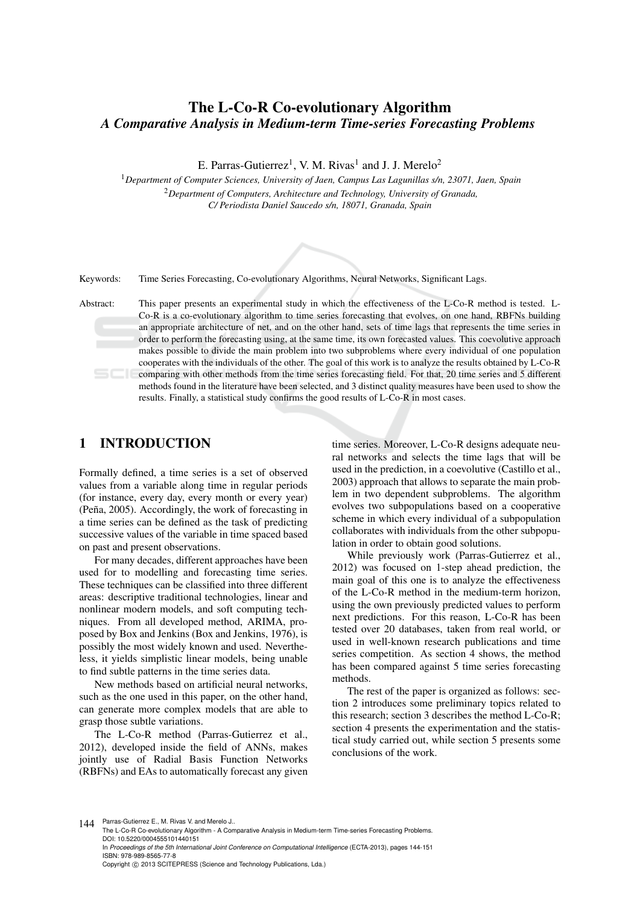## The L-Co-R Co-evolutionary Algorithm *A Comparative Analysis in Medium-term Time-series Forecasting Problems*

E. Parras-Gutierrez<sup>1</sup>, V. M. Rivas<sup>1</sup> and J. J. Merelo<sup>2</sup>

<sup>1</sup>*Department of Computer Sciences, University of Jaen, Campus Las Lagunillas s/n, 23071, Jaen, Spain* <sup>2</sup>*Department of Computers, Architecture and Technology, University of Granada, C/ Periodista Daniel Saucedo s/n, 18071, Granada, Spain*



Keywords: Time Series Forecasting, Co-evolutionary Algorithms, Neural Networks, Significant Lags.

Abstract: This paper presents an experimental study in which the effectiveness of the L-Co-R method is tested. L-Co-R is a co-evolutionary algorithm to time series forecasting that evolves, on one hand, RBFNs building an appropriate architecture of net, and on the other hand, sets of time lags that represents the time series in order to perform the forecasting using, at the same time, its own forecasted values. This coevolutive approach makes possible to divide the main problem into two subproblems where every individual of one population cooperates with the individuals of the other. The goal of this work is to analyze the results obtained by L-Co-R comparing with other methods from the time series forecasting field. For that, 20 time series and 5 different methods found in the literature have been selected, and 3 distinct quality measures have been used to show the results. Finally, a statistical study confirms the good results of L-Co-R in most cases.

## 1 INTRODUCTION

Formally defined, a time series is a set of observed values from a variable along time in regular periods (for instance, every day, every month or every year) (Peña, 2005). Accordingly, the work of forecasting in a time series can be defined as the task of predicting successive values of the variable in time spaced based on past and present observations.

For many decades, different approaches have been used for to modelling and forecasting time series. These techniques can be classified into three different areas: descriptive traditional technologies, linear and nonlinear modern models, and soft computing techniques. From all developed method, ARIMA, proposed by Box and Jenkins (Box and Jenkins, 1976), is possibly the most widely known and used. Nevertheless, it yields simplistic linear models, being unable to find subtle patterns in the time series data.

New methods based on artificial neural networks, such as the one used in this paper, on the other hand, can generate more complex models that are able to grasp those subtle variations.

The L-Co-R method (Parras-Gutierrez et al., 2012), developed inside the field of ANNs, makes jointly use of Radial Basis Function Networks (RBFNs) and EAs to automatically forecast any given

time series. Moreover, L-Co-R designs adequate neural networks and selects the time lags that will be used in the prediction, in a coevolutive (Castillo et al., 2003) approach that allows to separate the main problem in two dependent subproblems. The algorithm evolves two subpopulations based on a cooperative scheme in which every individual of a subpopulation collaborates with individuals from the other subpopulation in order to obtain good solutions.

While previously work (Parras-Gutierrez et al., 2012) was focused on 1-step ahead prediction, the main goal of this one is to analyze the effectiveness of the L-Co-R method in the medium-term horizon, using the own previously predicted values to perform next predictions. For this reason, L-Co-R has been tested over 20 databases, taken from real world, or used in well-known research publications and time series competition. As section 4 shows, the method has been compared against 5 time series forecasting methods.

The rest of the paper is organized as follows: section 2 introduces some preliminary topics related to this research; section 3 describes the method L-Co-R; section 4 presents the experimentation and the statistical study carried out, while section 5 presents some conclusions of the work.

144 Parras-Gutierrez E., M. Rivas V. and Merelo J..

The L-Co-R Co-evolutionary Algorithm - A Comparative Analysis in Medium-term Time-series Forecasting Problems. DOI: 10.5220/0004555101440151

In *Proceedings of the 5th International Joint Conference on Computational Intelligence* (ECTA-2013), pages 144-151 ISBN: 978-989-8565-77-8 Copyright (C) 2013 SCITEPRESS (Science and Technology Publications, Lda.)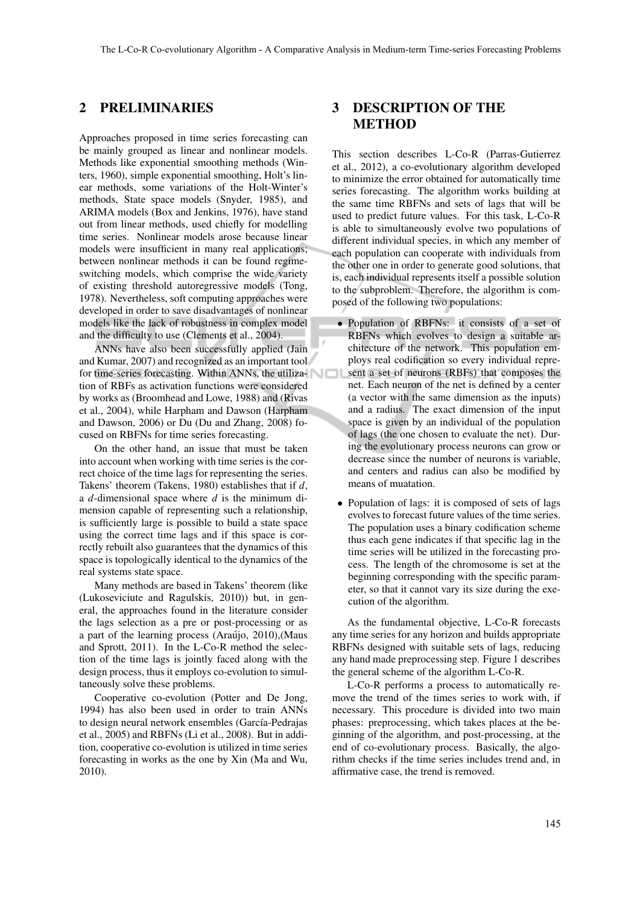## 2 PRELIMINARIES

Approaches proposed in time series forecasting can be mainly grouped as linear and nonlinear models. Methods like exponential smoothing methods (Winters, 1960), simple exponential smoothing, Holt's linear methods, some variations of the Holt-Winter's methods, State space models (Snyder, 1985), and ARIMA models (Box and Jenkins, 1976), have stand out from linear methods, used chiefly for modelling time series. Nonlinear models arose because linear models were insufficient in many real applications; between nonlinear methods it can be found regimeswitching models, which comprise the wide variety of existing threshold autoregressive models (Tong, 1978). Nevertheless, soft computing approaches were developed in order to save disadvantages of nonlinear models like the lack of robustness in complex model and the difficulty to use (Clements et al., 2004).

ANNs have also been successfully applied (Jain and Kumar, 2007) and recognized as an important tool for time-series forecasting. Within ANNs, the utilization of RBFs as activation functions were considered by works as (Broomhead and Lowe, 1988) and (Rivas et al., 2004), while Harpham and Dawson (Harpham and Dawson, 2006) or Du (Du and Zhang, 2008) focused on RBFNs for time series forecasting.

On the other hand, an issue that must be taken into account when working with time series is the correct choice of the time lags for representing the series. Takens' theorem (Takens, 1980) establishes that if *d*, a *d*-dimensional space where *d* is the minimum dimension capable of representing such a relationship, is sufficiently large is possible to build a state space using the correct time lags and if this space is correctly rebuilt also guarantees that the dynamics of this space is topologically identical to the dynamics of the real systems state space.

Many methods are based in Takens' theorem (like (Lukoseviciute and Ragulskis, 2010)) but, in general, the approaches found in the literature consider the lags selection as a pre or post-processing or as a part of the learning process (Araújo, 2010),(Maus and Sprott, 2011). In the L-Co-R method the selection of the time lags is jointly faced along with the design process, thus it employs co-evolution to simultaneously solve these problems.

Cooperative co-evolution (Potter and De Jong, 1994) has also been used in order to train ANNs to design neural network ensembles (García-Pedrajas et al., 2005) and RBFNs (Li et al., 2008). But in addition, cooperative co-evolution is utilized in time series forecasting in works as the one by Xin (Ma and Wu, 2010).

## 3 DESCRIPTION OF THE METHOD

This section describes L-Co-R (Parras-Gutierrez et al., 2012), a co-evolutionary algorithm developed to minimize the error obtained for automatically time series forecasting. The algorithm works building at the same time RBFNs and sets of lags that will be used to predict future values. For this task, L-Co-R is able to simultaneously evolve two populations of different individual species, in which any member of each population can cooperate with individuals from the other one in order to generate good solutions, that is, each individual represents itself a possible solution to the subproblem. Therefore, the algorithm is composed of the following two populations:

- Population of RBFNs: it consists of a set of RBFNs which evolves to design a suitable architecture of the network. This population employs real codification so every individual represent a set of neurons (RBFs) that composes the net. Each neuron of the net is defined by a center (a vector with the same dimension as the inputs) and a radius. The exact dimension of the input space is given by an individual of the population of lags (the one chosen to evaluate the net). During the evolutionary process neurons can grow or decrease since the number of neurons is variable, and centers and radius can also be modified by means of muatation.
- Population of lags: it is composed of sets of lags evolves to forecast future values of the time series. The population uses a binary codification scheme thus each gene indicates if that specific lag in the time series will be utilized in the forecasting process. The length of the chromosome is set at the beginning corresponding with the specific parameter, so that it cannot vary its size during the execution of the algorithm.

As the fundamental objective, L-Co-R forecasts any time series for any horizon and builds appropriate RBFNs designed with suitable sets of lags, reducing any hand made preprocessing step. Figure 1 describes the general scheme of the algorithm L-Co-R.

L-Co-R performs a process to automatically remove the trend of the times series to work with, if necessary. This procedure is divided into two main phases: preprocessing, which takes places at the beginning of the algorithm, and post-processing, at the end of co-evolutionary process. Basically, the algorithm checks if the time series includes trend and, in affirmative case, the trend is removed.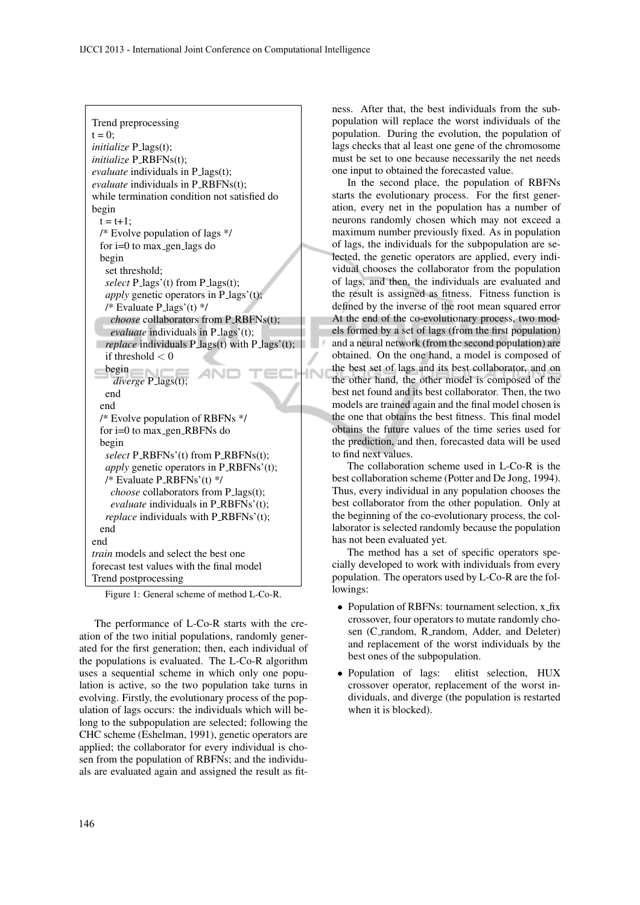| Trend preprocessing<br>$t = 0;$                       |  |
|-------------------------------------------------------|--|
| <i>initialize</i> P_lags(t);                          |  |
| initialize P_RBFNs(t);                                |  |
| <i>evaluate</i> individuals in $P_{\text{lags}}(t)$ ; |  |
| evaluate individuals in P_RBFNs(t);                   |  |
| while termination condition not satisfied do          |  |
| begin                                                 |  |
| $t = t + 1$ ;                                         |  |
| /* Evolve population of lags $*/$                     |  |
| for $i=0$ to max_gen_lags do                          |  |
| begin                                                 |  |
| set threshold:                                        |  |
| select P_lags'(t) from P_lags(t);                     |  |
| <i>apply</i> genetic operators in P_lags'(t);         |  |
| /* Evaluate $P_{\text{lags}}'(t)$ */                  |  |
| <i>choose</i> collaborators from P_RBFNs(t);          |  |
| evaluate individuals in P_lags'(t);                   |  |
| <i>replace</i> individuals P_lags(t) with P_lags'(t); |  |
| if threshold $< 0$                                    |  |
| begin<br>diverge P_lags(t);                           |  |
| end                                                   |  |
| end                                                   |  |
| /* Evolve population of RBFNs */                      |  |
| for i=0 to max_gen_RBFNs do                           |  |
| begin                                                 |  |
| select P_RBFNs'(t) from P_RBFNs(t);                   |  |
| apply genetic operators in P_RBFNs'(t);               |  |
| /* Evaluate P_RBFNs'(t) */                            |  |
| choose collaborators from P_lags(t);                  |  |
| evaluate individuals in P_RBFNs'(t);                  |  |
| replace individuals with P_RBFNs'(t);                 |  |
| end                                                   |  |
| end                                                   |  |
| train models and select the best one                  |  |
| forecast test values with the final model             |  |
| Trend postprocessing                                  |  |

**M** 

Figure 1: General scheme of method L-Co-R.

The performance of L-Co-R starts with the creation of the two initial populations, randomly generated for the first generation; then, each individual of the populations is evaluated. The L-Co-R algorithm uses a sequential scheme in which only one population is active, so the two population take turns in evolving. Firstly, the evolutionary process of the population of lags occurs: the individuals which will belong to the subpopulation are selected; following the CHC scheme (Eshelman, 1991), genetic operators are applied; the collaborator for every individual is chosen from the population of RBFNs; and the individuals are evaluated again and assigned the result as fitness. After that, the best individuals from the subpopulation will replace the worst individuals of the population. During the evolution, the population of lags checks that al least one gene of the chromosome must be set to one because necessarily the net needs one input to obtained the forecasted value.

In the second place, the population of RBFNs starts the evolutionary process. For the first generation, every net in the population has a number of neurons randomly chosen which may not exceed a maximum number previously fixed. As in population of lags, the individuals for the subpopulation are selected, the genetic operators are applied, every individual chooses the collaborator from the population of lags, and then, the individuals are evaluated and the result is assigned as fitness. Fitness function is defined by the inverse of the root mean squared error At the end of the co-evolutionary process, two models formed by a set of lags (from the first population) and a neural network (from the second population) are obtained. On the one hand, a model is composed of the best set of lags and its best collaborator, and on the other hand, the other model is composed of the best net found and its best collaborator. Then, the two models are trained again and the final model chosen is the one that obtains the best fitness. This final model obtains the future values of the time series used for the prediction, and then, forecasted data will be used to find next values.

The collaboration scheme used in L-Co-R is the best collaboration scheme (Potter and De Jong, 1994). Thus, every individual in any population chooses the best collaborator from the other population. Only at the beginning of the co-evolutionary process, the collaborator is selected randomly because the population has not been evaluated yet.

The method has a set of specific operators specially developed to work with individuals from every population. The operators used by L-Co-R are the followings:

- Population of RBFNs: tournament selection, x\_fix crossover, four operators to mutate randomly chosen (C\_random, R\_random, Adder, and Deleter) and replacement of the worst individuals by the best ones of the subpopulation.
- Population of lags: elitist selection, HUX crossover operator, replacement of the worst individuals, and diverge (the population is restarted when it is blocked).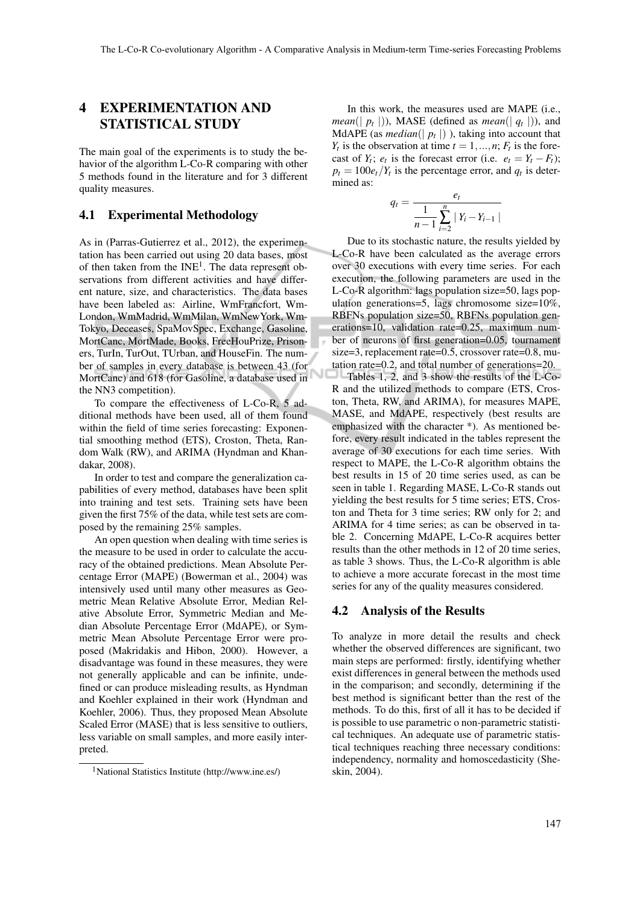## 4 EXPERIMENTATION AND STATISTICAL STUDY

The main goal of the experiments is to study the behavior of the algorithm L-Co-R comparing with other 5 methods found in the literature and for 3 different quality measures.

#### 4.1 Experimental Methodology

As in (Parras-Gutierrez et al., 2012), the experimentation has been carried out using 20 data bases, most of then taken from the  $INE<sup>1</sup>$ . The data represent observations from different activities and have different nature, size, and characteristics. The data bases have been labeled as: Airline, WmFrancfort, Wm-London, WmMadrid, WmMilan, WmNewYork, Wm-Tokyo, Deceases, SpaMovSpec, Exchange, Gasoline, MortCanc, MortMade, Books, FreeHouPrize, Prisoners, TurIn, TurOut, TUrban, and HouseFin. The number of samples in every database is between 43 (for MortCanc) and 618 (for Gasoline, a database used in the NN3 competition).

To compare the effectiveness of L-Co-R, 5 additional methods have been used, all of them found within the field of time series forecasting: Exponential smoothing method (ETS), Croston, Theta, Random Walk (RW), and ARIMA (Hyndman and Khandakar, 2008).

In order to test and compare the generalization capabilities of every method, databases have been split into training and test sets. Training sets have been given the first 75% of the data, while test sets are composed by the remaining 25% samples.

An open question when dealing with time series is the measure to be used in order to calculate the accuracy of the obtained predictions. Mean Absolute Percentage Error (MAPE) (Bowerman et al., 2004) was intensively used until many other measures as Geometric Mean Relative Absolute Error, Median Relative Absolute Error, Symmetric Median and Median Absolute Percentage Error (MdAPE), or Symmetric Mean Absolute Percentage Error were proposed (Makridakis and Hibon, 2000). However, a disadvantage was found in these measures, they were not generally applicable and can be infinite, undefined or can produce misleading results, as Hyndman and Koehler explained in their work (Hyndman and Koehler, 2006). Thus, they proposed Mean Absolute Scaled Error (MASE) that is less sensitive to outliers, less variable on small samples, and more easily interpreted.

In this work, the measures used are MAPE (i.e., *mean*( $|p_t|$ )), MASE (defined as *mean*( $|q_t|$ )), and MdAPE (as *median*(| *p<sup>t</sup>* |) ), taking into account that *Y*<sup>*t*</sup> is the observation at time  $t = 1, ..., n$ ;  $F_t$  is the forecast of  $Y_t$ ;  $e_t$  is the forecast error (i.e.  $e_t = Y_t - F_t$ );  $p_t = 100e_t/Y_t$  is the percentage error, and  $q_t$  is determined as:

$$
q_{t} = \frac{e_{t}}{\frac{1}{n-1} \sum_{i=2}^{n} |Y_{i} - Y_{i-1}|}
$$

Due to its stochastic nature, the results yielded by L-Co-R have been calculated as the average errors over 30 executions with every time series. For each execution, the following parameters are used in the L-Co-R algorithm: lags population size=50, lags population generations=5, lags chromosome size=10%, RBFNs population size=50, RBFNs population generations=10, validation rate=0.25, maximum number of neurons of first generation=0.05, tournament size=3, replacement rate=0.5, crossover rate=0.8, mutation rate=0.2, and total number of generations=20. Tables 1, 2, and 3 show the results of the L-Co-R and the utilized methods to compare (ETS, Croston, Theta, RW, and ARIMA), for measures MAPE, MASE, and MdAPE, respectively (best results are emphasized with the character \*). As mentioned before, every result indicated in the tables represent the average of 30 executions for each time series. With respect to MAPE, the L-Co-R algorithm obtains the best results in 15 of 20 time series used, as can be seen in table 1. Regarding MASE, L-Co-R stands out yielding the best results for 5 time series; ETS, Croston and Theta for 3 time series; RW only for 2; and ARIMA for 4 time series; as can be observed in table 2. Concerning MdAPE, L-Co-R acquires better results than the other methods in 12 of 20 time series, as table 3 shows. Thus, the L-Co-R algorithm is able to achieve a more accurate forecast in the most time series for any of the quality measures considered.

#### 4.2 Analysis of the Results

To analyze in more detail the results and check whether the observed differences are significant, two main steps are performed: firstly, identifying whether exist differences in general between the methods used in the comparison; and secondly, determining if the best method is significant better than the rest of the methods. To do this, first of all it has to be decided if is possible to use parametric o non-parametric statistical techniques. An adequate use of parametric statistical techniques reaching three necessary conditions: independency, normality and homoscedasticity (Sheskin, 2004).

<sup>1</sup>National Statistics Institute (http://www.ine.es/)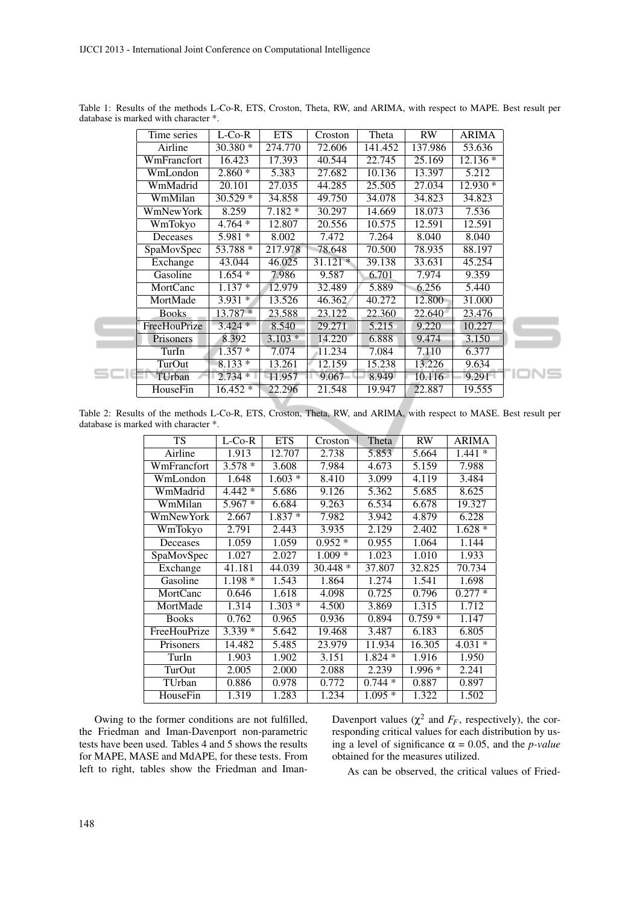| Time series      | $L$ -Co-R | <b>ETS</b> | Croston   | Theta   | <b>RW</b> | <b>ARIMA</b> |
|------------------|-----------|------------|-----------|---------|-----------|--------------|
| Airline          | $30.380*$ | 274.770    | 72.606    | 141.452 | 137.986   | 53.636       |
| WmFrancfort      | 16.423    | 17.393     | 40.544    | 22.745  | 25.169    | $12.136*$    |
| WmLondon         | $2.860*$  | 5.383      | 27.682    | 10.136  | 13.397    | 5.212        |
| WmMadrid         | 20.101    | 27.035     | 44.285    | 25.505  | 27.034    | $12.930*$    |
| WmMilan          | $30.529*$ | 34.858     | 49.750    | 34.078  | 34.823    | 34.823       |
| <b>WmNewYork</b> | 8.259     | $7.182*$   | 30.297    | 14.669  | 18.073    | 7.536        |
| WmTokyo          | $4.764*$  | 12.807     | 20.556    | 10.575  | 12.591    | 12.591       |
| Deceases         | $5.981*$  | 8.002      | 7.472     | 7.264   | 8.040     | 8.040        |
| SpaMovSpec       | 53.788 *  | 217.978    | 78.648    | 70.500  | 78.935    | 88.197       |
| Exchange         | 43.044    | 46.025     | $31.121*$ | 39.138  | 33.631    | 45.254       |
| Gasoline         | $1.654*$  | 7.986      | 9.587     | 6.701   | 7.974     | 9.359        |
| MortCanc         | $1.137*$  | 12.979     | 32.489    | 5.889   | 6.256     | 5.440        |
| MortMade         | $3.931*$  | 13.526     | 46.362    | 40.272  | 12.800    | 31.000       |
| <b>Books</b>     | $13.787*$ | 23.588     | 23.122    | 22.360  | 22.640    | 23.476       |
| FreeHouPrize     | $3.424*$  | 8.540      | 29.271    | 5.215   | 9.220     | 10.227       |
| Prisoners        | 8.392     | $3.103*$   | 14.220    | 6.888   | 9.474     | 3.150        |
| TurIn            | $1.357*$  | 7.074      | 11.234    | 7.084   | 7.110     | 6.377        |
| TurOut           | $8.133*$  | 13.261     | 12.159    | 15.238  | 13.226    | 9.634        |
| TUrban           | $2.734*$  | 11.957     | 9.067     | 8.949   | 10.116    | 9.291        |
| HouseFin         | $16.452*$ | 22.296     | 21.548    | 19.947  | 22.887    | 19.555       |
|                  |           |            |           |         |           |              |

Table 1: Results of the methods L-Co-R, ETS, Croston, Theta, RW, and ARIMA, with respect to MAPE. Best result per database is marked with character \*.

Table 2: Results of the methods L-Co-R, ETS, Croston, Theta, RW, and ARIMA, with respect to MASE. Best result per database is marked with character \*.

| <b>TS</b>        | $L-Co-R$ | <b>ETS</b> | Croston   | Theta    | <b>RW</b> | <b>ARIMA</b>       |
|------------------|----------|------------|-----------|----------|-----------|--------------------|
| Airline          | 1.913    | 12.707     | 2.738     | 5.853    | 5.664     | $1.441*$           |
| WmFrancfort      | $3.578*$ | 3.608      | 7.984     | 4.673    | 5.159     | 7.988              |
| WmLondon         | 1.648    | $1.603*$   | 8.410     | 3.099    | 4.119     | 3.484              |
| WmMadrid         | $4.442*$ | 5.686      | 9.126     | 5.362    | 5.685     | 8.625              |
| WmMilan          | $5.967*$ | 6.684      | 9.263     | 6.534    | 6.678     | 19.327             |
| <b>WmNewYork</b> | 2.667    | $1.837*$   | 7.982     | 3.942    | 4.879     | 6.228              |
| WmTokyo          | 2.791    | 2.443      | 3.935     | 2.129    | 2.402     | $1.628*$           |
| Deceases         | 1.059    | 1.059      | $0.952*$  | 0.955    | 1.064     | 1.144              |
| SpaMovSpec       | 1.027    | 2.027      | $1.009*$  | 1.023    | 1.010     | 1.933              |
| Exchange         | 41.181   | 44.039     | $30.448*$ | 37.807   | 32.825    | 70.734             |
| Gasoline         | $1.198*$ | 1.543      | 1.864     | 1.274    | 1.541     | 1.698              |
| MortCanc         | 0.646    | 1.618      | 4.098     | 0.725    | 0.796     | $0.277*$           |
| MortMade         | 1.314    | $1.303*$   | 4.500     | 3.869    | 1.315     | $\overline{1.712}$ |
| <b>Books</b>     | 0.762    | 0.965      | 0.936     | 0.894    | $0.759*$  | 1.147              |
| FreeHouPrize     | $3.339*$ | 5.642      | 19.468    | 3.487    | 6.183     | 6.805              |
| Prisoners        | 14.482   | 5.485      | 23.979    | 11.934   | 16.305    | $4.031 *$          |
| TurIn            | 1.903    | 1.902      | 3.151     | $1.824*$ | 1.916     | 1.950              |
| TurOut           | 2.005    | 2.000      | 2.088     | 2.239    | $1.996*$  | 2.241              |
| TUrban           | 0.886    | 0.978      | 0.772     | $0.744*$ | 0.887     | 0.897              |
| HouseFin         | 1.319    | 1.283      | 1.234     | $1.095*$ | 1.322     | 1.502              |

Owing to the former conditions are not fulfilled, the Friedman and Iman-Davenport non-parametric tests have been used. Tables 4 and 5 shows the results for MAPE, MASE and MdAPE, for these tests. From left to right, tables show the Friedman and Iman-

Davenport values ( $\chi^2$  and  $F_F$ , respectively), the corresponding critical values for each distribution by using a level of significance  $\alpha = 0.05$ , and the *p*-value obtained for the measures utilized.

NS

As can be observed, the critical values of Fried-

٠

 $\equiv$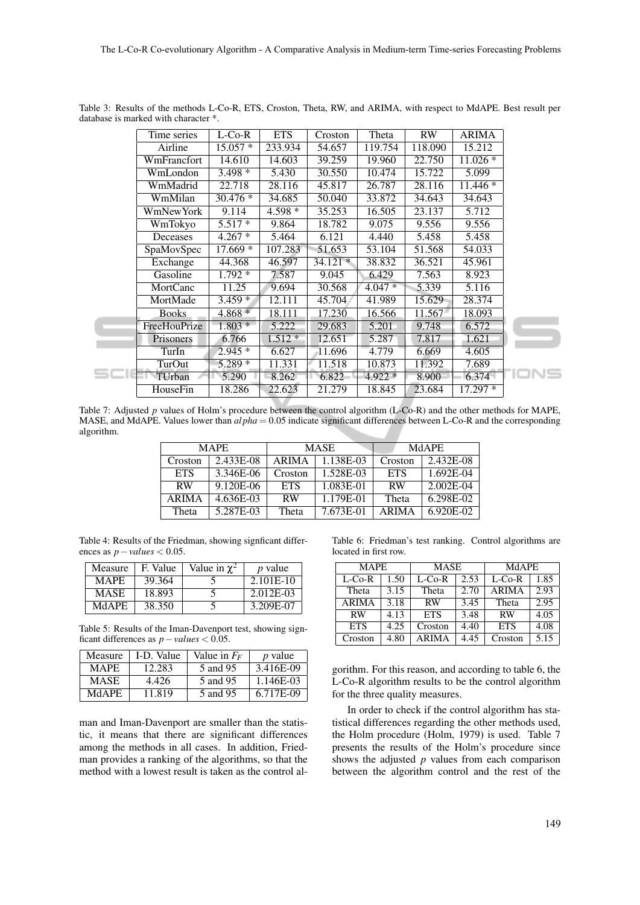| Time series      | $L$ -Co-R | <b>ETS</b> | Croston   | Theta    | <b>RW</b> | <b>ARIMA</b> |  |
|------------------|-----------|------------|-----------|----------|-----------|--------------|--|
| Airline          | $15.057*$ | 233.934    | 54.657    | 119.754  | 118.090   | 15.212       |  |
| WmFrancfort      | 14.610    | 14.603     | 39.259    | 19.960   | 22.750    | $11.026*$    |  |
| WmLondon         | $3.498*$  | 5.430      | 30.550    | 10.474   | 15.722    | 5.099        |  |
| WmMadrid         | 22.718    | 28.116     | 45.817    | 26.787   | 28.116    | $11.446*$    |  |
| WmMilan          | $30.476*$ | 34.685     | 50.040    | 33.872   | 34.643    | 34.643       |  |
| <b>WmNewYork</b> | 9.114     | $4.598*$   | 35.253    | 16.505   | 23.137    | 5.712        |  |
| WmTokyo          | $5.517*$  | 9.864      | 18.782    | 9.075    | 9.556     | 9.556        |  |
| Deceases         | $4.267*$  | 5.464      | 6.121     | 4.440    | 5.458     | 5.458        |  |
| SpaMovSpec       | $17.669*$ | 107.283    | 51.653    | 53.104   | 51.568    | 54.033       |  |
| Exchange         | 44.368    | 46.597     | $34.121*$ | 38.832   | 36.521    | 45.961       |  |
| Gasoline         | $1.792*$  | 7.587      | 9.045     | 6.429    | 7.563     | 8.923        |  |
| MortCanc         | 11.25     | 9.694      | 30.568    | $4.047*$ | 5.339     | 5.116        |  |
| MortMade         | $3.459*$  | 12.111     | 45.704    | 41.989   | 15.629    | 28.374       |  |
| <b>Books</b>     | $4.868*$  | 18.111     | 17.230    | 16.566   | 11.567    | 18.093       |  |
| FreeHouPrize     | $1.803*$  | 5.222      | 29.683    | 5.201    | 9.748     | 6.572        |  |
| Prisoners        | 6.766     | $1.512*$   | 12.651    | 5.287    | 7.817     | 1.621        |  |
| TurIn            | $2.945*$  | 6.627      | 11.696    | 4.779    | 6.669     | 4.605        |  |
| TurOut           | 5.289 *   | 11.331     | 11.518    | 10.873   | 11.392    | 7.689        |  |
| TUrban           | 5.290     | 8.262      | 6.822     | 4.922 *  | 8.900     | 6.374        |  |
| HouseFin         | 18.286    | 22.623     | 21.279    | 18.845   | 23.684    | $17.297*$    |  |
|                  |           |            |           |          |           |              |  |

Table 3: Results of the methods L-Co-R, ETS, Croston, Theta, RW, and ARIMA, with respect to MdAPE. Best result per database is marked with character \*.

Table 7: Adjusted *p* values of Holm's procedure between the control algorithm (L-Co-R) and the other methods for MAPE, MASE, and MdAPE. Values lower than  $alpha = 0.05$  indicate significant differences between L-Co-R and the corresponding algorithm.

| <b>MAPE</b>  |           |              | <b>MASE</b> | <b>MdAPE</b> |               |  |
|--------------|-----------|--------------|-------------|--------------|---------------|--|
| Croston      | 2.433E-08 | <b>ARIMA</b> | 1.138E-03   | Croston      | 2.432E-08     |  |
| <b>ETS</b>   | 3.346E-06 | Croston      | 1.528E-03   | <b>ETS</b>   | 1.692E-04     |  |
| <b>RW</b>    | 9.120E-06 | <b>ETS</b>   | 1.083E-01   | <b>RW</b>    | $2.002E - 04$ |  |
| <b>ARIMA</b> | 4.636E-03 | <b>RW</b>    | 1.179E-01   | Theta        | 6.298E-02     |  |
| Theta        | 5.287E-03 | Theta        | 7.673E-01   | <b>ARIMA</b> | 6.920E-02     |  |

Table 4: Results of the Friedman, showing signficant differences as *p*−*values* < 0.05.

 $\equiv$ 

| Measure      | F. Value | Value in $\chi^2$ | <i>p</i> value |
|--------------|----------|-------------------|----------------|
| <b>MAPE</b>  | 39.364   |                   | 2.101E-10      |
| <b>MASE</b>  | 18.893   |                   | 2.012E-03      |
| <b>MdAPE</b> | 38.350   |                   | 3.209E-07      |

Table 5: Results of the Iman-Davenport test, showing signficant differences as *p*−*values* < 0.05.

| Measure     | I-D. Value | Value in $F_F$ | <i>p</i> value |
|-------------|------------|----------------|----------------|
| <b>MAPE</b> | 12.283     | 5 and 95       | 3.416E-09      |
| <b>MASE</b> | 4.426      | 5 and 95       | 1.146E-03      |
| MdAPE       | 11.819     | 5 and 95       | 6.717E-09      |

man and Iman-Davenport are smaller than the statistic, it means that there are significant differences among the methods in all cases. In addition, Friedman provides a ranking of the algorithms, so that the method with a lowest result is taken as the control al-

Table 6: Friedman's test ranking. Control algorithms are located in first row.

| <b>MAPE</b>  |      | MASE         |      | <b>MdAPE</b> |      |
|--------------|------|--------------|------|--------------|------|
| $L$ -Co-R    | 1.50 | $L$ -Co-R    | 2.53 | $L$ -Co-R    | 1.85 |
| Theta        | 3.15 | Theta        | 2.70 | <b>ARIMA</b> | 2.93 |
| <b>ARIMA</b> | 3.18 | <b>RW</b>    | 3.45 | Theta        | 2.95 |
| <b>RW</b>    | 4.13 | <b>ETS</b>   | 3.48 | <b>RW</b>    | 4.05 |
| <b>ETS</b>   | 4.25 | Croston      | 4.40 | <b>ETS</b>   | 4.08 |
| Croston      | 4.80 | <b>ARIMA</b> | 4.45 | Croston      | 5.15 |

gorithm. For this reason, and according to table 6, the L-Co-R algorithm results to be the control algorithm for the three quality measures.

In order to check if the control algorithm has statistical differences regarding the other methods used, the Holm procedure (Holm, 1979) is used. Table 7 presents the results of the Holm's procedure since shows the adjusted *p* values from each comparison between the algorithm control and the rest of the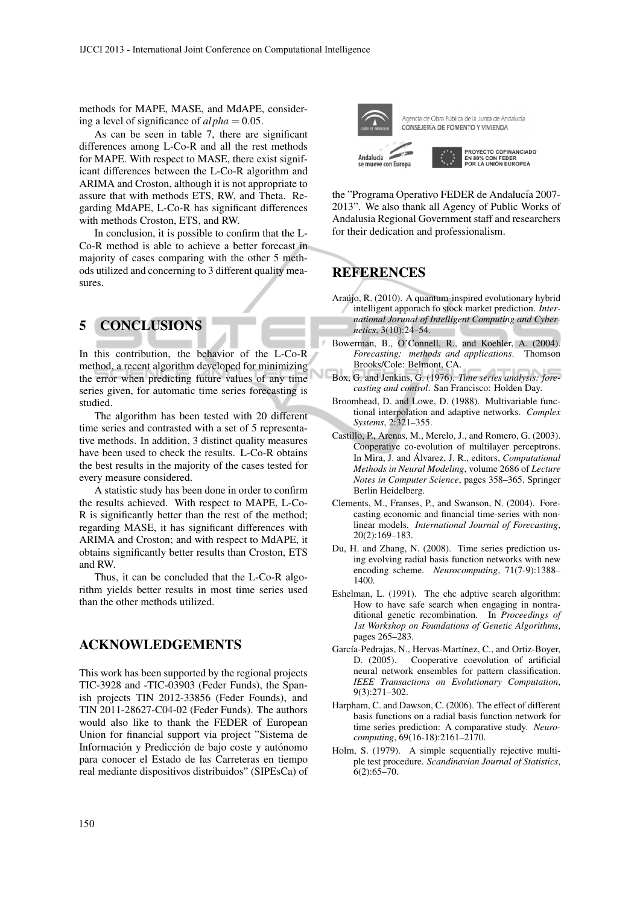methods for MAPE, MASE, and MdAPE, considering a level of significance of *al pha* = 0.05.

As can be seen in table 7, there are significant differences among L-Co-R and all the rest methods for MAPE. With respect to MASE, there exist significant differences between the L-Co-R algorithm and ARIMA and Croston, although it is not appropriate to assure that with methods ETS, RW, and Theta. Regarding MdAPE, L-Co-R has significant differences with methods Croston, ETS, and RW.

In conclusion, it is possible to confirm that the L-Co-R method is able to achieve a better forecast in majority of cases comparing with the other 5 methods utilized and concerning to 3 different quality measures.

# 5 CONCLUSIONS

In this contribution, the behavior of the L-Co-R method, a recent algorithm developed for minimizing the error when predicting future values of any time series given, for automatic time series forecasting is studied.

The algorithm has been tested with 20 different time series and contrasted with a set of 5 representative methods. In addition, 3 distinct quality measures have been used to check the results. L-Co-R obtains the best results in the majority of the cases tested for every measure considered.

A statistic study has been done in order to confirm the results achieved. With respect to MAPE, L-Co-R is significantly better than the rest of the method; regarding MASE, it has significant differences with ARIMA and Croston; and with respect to MdAPE, it obtains significantly better results than Croston, ETS and RW.

Thus, it can be concluded that the L-Co-R algorithm yields better results in most time series used than the other methods utilized.

### ACKNOWLEDGEMENTS

This work has been supported by the regional projects TIC-3928 and -TIC-03903 (Feder Funds), the Spanish projects TIN 2012-33856 (Feder Founds), and TIN 2011-28627-C04-02 (Feder Funds). The authors would also like to thank the FEDER of European Union for financial support via project "Sistema de Información y Predicción de bajo coste y autónomo para conocer el Estado de las Carreteras en tiempo real mediante dispositivos distribuidos" (SIPEsCa) of



PROYECTO COFINANCIADO EN 80% CON FEDER<br>POR LA UNIÓN EUROPEA

the "Programa Operativo FEDER de Andalucía 2007-2013". We also thank all Agency of Public Works of Andalusia Regional Government staff and researchers for their dedication and professionalism.

## **REFERENCES**

- Araújo, R. (2010). A quantum-inspired evolutionary hybrid intelligent apporach fo stock market prediction. *International Jorunal of Intelligent Computing and Cybernetics*, 3(10):24–54.
- Bowerman, B., O'Connell, R., and Koehler, A. (2004). *Forecasting: methods and applications*. Thomson Brooks/Cole: Belmont, CA.
- Box, G. and Jenkins, G. (1976). *Time series analysis: forecasting and control*. San Francisco: Holden Day.
- Broomhead, D. and Lowe, D. (1988). Multivariable functional interpolation and adaptive networks. *Complex Systems*, 2:321–355.
- Castillo, P., Arenas, M., Merelo, J., and Romero, G. (2003). Cooperative co-evolution of multilayer perceptrons. In Mira, J. and Álvarez, J. R., editors, *Computational Methods in Neural Modeling*, volume 2686 of *Lecture Notes in Computer Science*, pages 358–365. Springer Berlin Heidelberg.
- Clements, M., Franses, P., and Swanson, N. (2004). Forecasting economic and financial time-series with nonlinear models. *International Journal of Forecasting*, 20(2):169–183.
- Du, H. and Zhang, N. (2008). Time series prediction using evolving radial basis function networks with new encoding scheme. *Neurocomputing*, 71(7-9):1388– 1400.
- Eshelman, L. (1991). The chc adptive search algorithm: How to have safe search when engaging in nontraditional genetic recombination. In *Proceedings of 1st Workshop on Foundations of Genetic Algorithms*, pages 265–283.
- García-Pedrajas, N., Hervas-Martínez, C., and Ortiz-Boyer, D. (2005). Cooperative coevolution of artificial neural network ensembles for pattern classification. *IEEE Transactions on Evolutionary Computation*, 9(3):271–302.
- Harpham, C. and Dawson, C. (2006). The effect of different basis functions on a radial basis function network for time series prediction: A comparative study. *Neurocomputing*, 69(16-18):2161–2170.
- Holm, S. (1979). A simple sequentially rejective multiple test procedure. *Scandinavian Journal of Statistics*, 6(2):65–70.